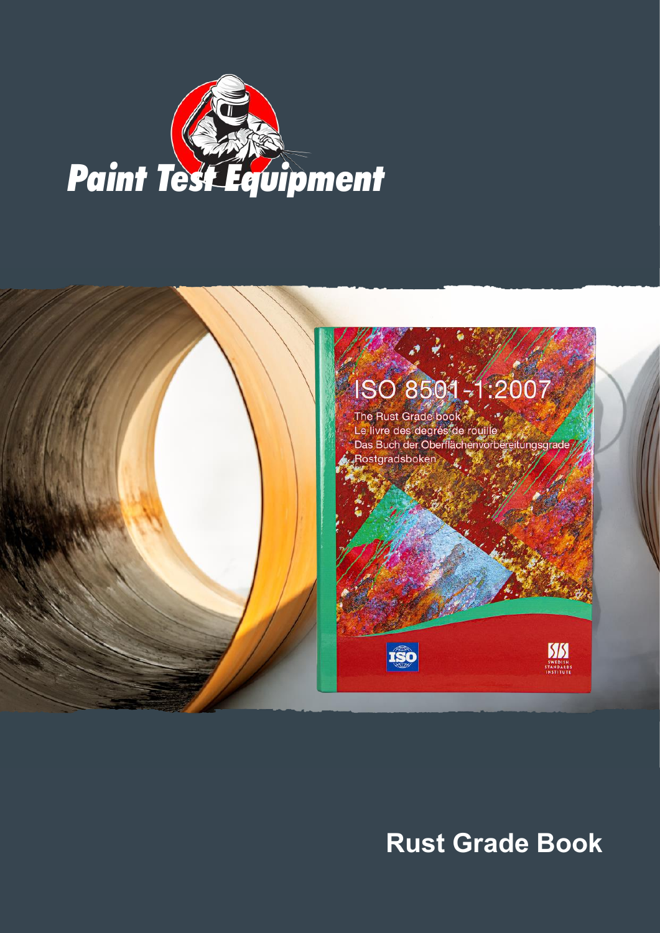



# **Rust Grade Book**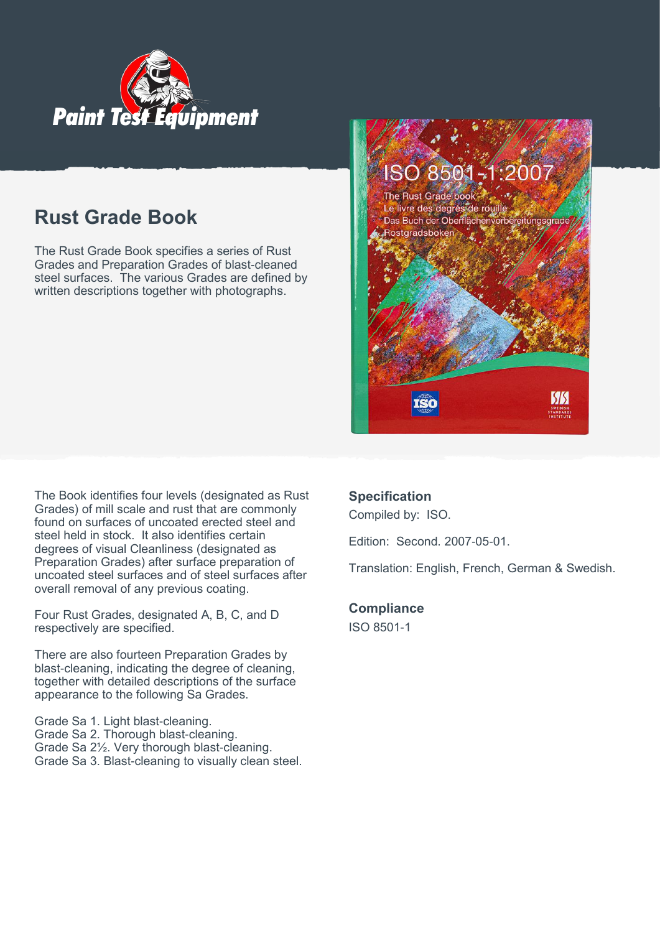

### **Rust Grade Book**

The Rust Grade Book specifies a series of Rust Grades and Preparation Grades of blast-cleaned steel surfaces. The various Grades are defined by written descriptions together with photographs.



The Book identifies four levels (designated as Rust Grades) of mill scale and rust that are commonly found on surfaces of uncoated erected steel and steel held in stock. It also identifies certain degrees of visual Cleanliness (designated as Preparation Grades) after surface preparation of uncoated steel surfaces and of steel surfaces after overall removal of any previous coating.

Four Rust Grades, designated A, B, C, and D respectively are specified.

There are also fourteen Preparation Grades by blast-cleaning, indicating the degree of cleaning, together with detailed descriptions of the surface appearance to the following Sa Grades.

Grade Sa 1. Light blast-cleaning. Grade Sa 2. Thorough blast-cleaning. Grade Sa 21/2. Very thorough blast-cleaning. Grade Sa 3. Blast-cleaning to visually clean steel.

#### **Specification**

Compiled by: ISO.

Edition: Second. 2007-05-01.

Translation: English, French, German & Swedish.

#### **Compliance**

ISO 8501-1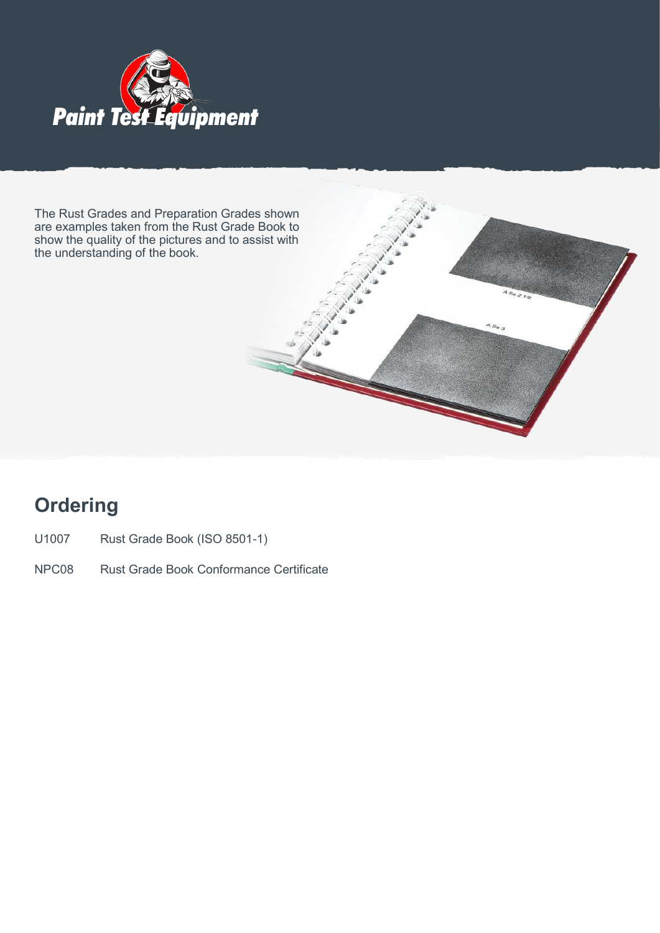

The Rust Grades and Preparation Grades shown are examples taken from the Rust Grade Book to show the quality of the pictures and to assist with the understanding of the book.

## **Ordering**

- U1007 Rust Grade Book (ISO 8501-1)
- NPC08 Rust Grade Book Conformance Certificate